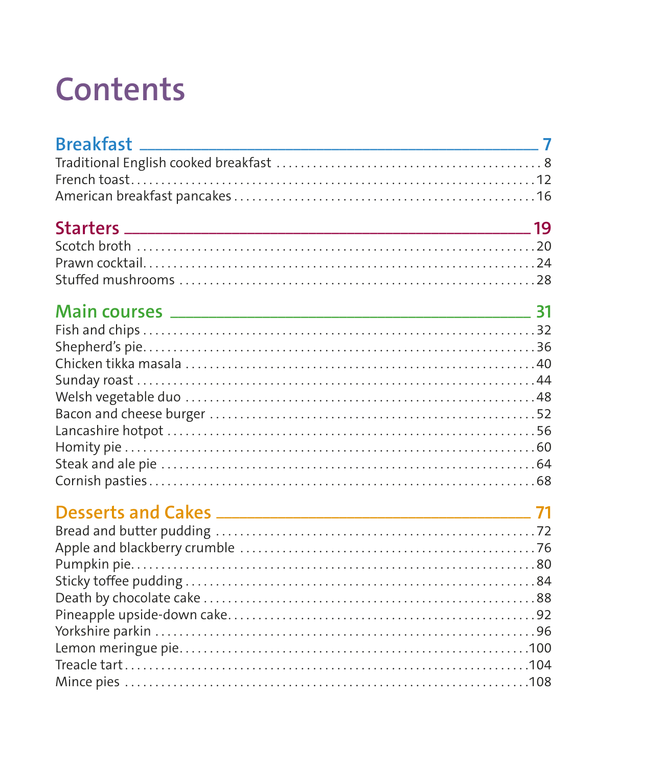## **Contents**

| Breakfast _________ |  |
|---------------------|--|
|                     |  |
|                     |  |
|                     |  |
|                     |  |
|                     |  |
|                     |  |
|                     |  |
|                     |  |
|                     |  |
|                     |  |
|                     |  |
|                     |  |
|                     |  |
|                     |  |
|                     |  |
|                     |  |
|                     |  |
|                     |  |
|                     |  |
|                     |  |
|                     |  |
|                     |  |
|                     |  |
|                     |  |
|                     |  |
|                     |  |
|                     |  |
|                     |  |
|                     |  |